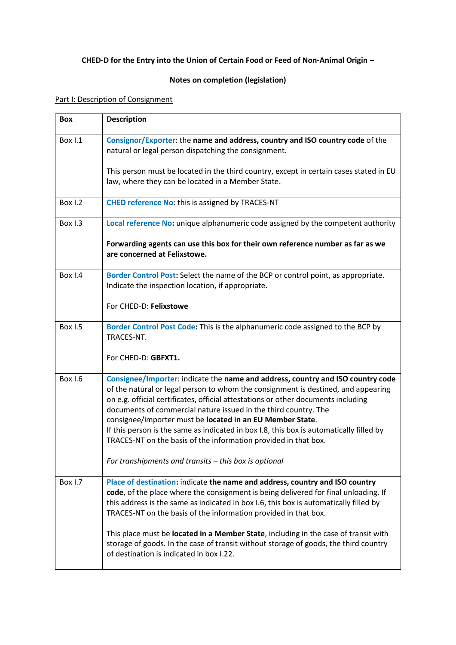## **CHED-D for the Entry into the Union of Certain Food or Feed of Non-Animal Origin –**

## **Notes on completion (legislation)**

## Part I: Description of Consignment

| <b>Box</b>     | <b>Description</b>                                                                                                                                                                                                                                                                                                                                                                        |
|----------------|-------------------------------------------------------------------------------------------------------------------------------------------------------------------------------------------------------------------------------------------------------------------------------------------------------------------------------------------------------------------------------------------|
| <b>Box 1.1</b> | Consignor/Exporter: the name and address, country and ISO country code of the<br>natural or legal person dispatching the consignment.                                                                                                                                                                                                                                                     |
|                | This person must be located in the third country, except in certain cases stated in EU<br>law, where they can be located in a Member State.                                                                                                                                                                                                                                               |
| <b>Box 1.2</b> | <b>CHED reference No: this is assigned by TRACES-NT</b>                                                                                                                                                                                                                                                                                                                                   |
| Box I.3        | Local reference No: unique alphanumeric code assigned by the competent authority                                                                                                                                                                                                                                                                                                          |
|                | Forwarding agents can use this box for their own reference number as far as we<br>are concerned at Felixstowe.                                                                                                                                                                                                                                                                            |
| Box I.4        | Border Control Post: Select the name of the BCP or control point, as appropriate.<br>Indicate the inspection location, if appropriate.                                                                                                                                                                                                                                                    |
|                | For CHED-D: Felixstowe                                                                                                                                                                                                                                                                                                                                                                    |
| <b>Box 1.5</b> | Border Control Post Code: This is the alphanumeric code assigned to the BCP by<br>TRACES-NT.                                                                                                                                                                                                                                                                                              |
|                | For CHED-D: GBFXT1.                                                                                                                                                                                                                                                                                                                                                                       |
| Box I.6        | Consignee/Importer: indicate the name and address, country and ISO country code<br>of the natural or legal person to whom the consignment is destined, and appearing<br>on e.g. official certificates, official attestations or other documents including<br>documents of commercial nature issued in the third country. The<br>consignee/importer must be located in an EU Member State. |
|                | If this person is the same as indicated in box I.8, this box is automatically filled by<br>TRACES-NT on the basis of the information provided in that box.                                                                                                                                                                                                                                |
|                | For transhipments and transits - this box is optional                                                                                                                                                                                                                                                                                                                                     |
| Box I.7        | Place of destination: indicate the name and address, country and ISO country<br>code, of the place where the consignment is being delivered for final unloading. If<br>this address is the same as indicated in box I.6, this box is automatically filled by<br>TRACES-NT on the basis of the information provided in that box.                                                           |
|                | This place must be located in a Member State, including in the case of transit with<br>storage of goods. In the case of transit without storage of goods, the third country<br>of destination is indicated in box I.22.                                                                                                                                                                   |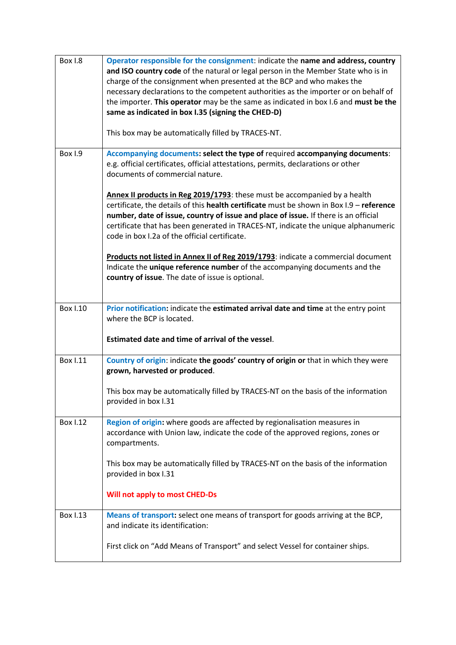| <b>Box 1.8</b>  | Operator responsible for the consignment: indicate the name and address, country<br>and ISO country code of the natural or legal person in the Member State who is in<br>charge of the consignment when presented at the BCP and who makes the<br>necessary declarations to the competent authorities as the importer or on behalf of<br>the importer. This operator may be the same as indicated in box I.6 and must be the<br>same as indicated in box I.35 (signing the CHED-D)<br>This box may be automatically filled by TRACES-NT. |
|-----------------|------------------------------------------------------------------------------------------------------------------------------------------------------------------------------------------------------------------------------------------------------------------------------------------------------------------------------------------------------------------------------------------------------------------------------------------------------------------------------------------------------------------------------------------|
| Box I.9         | Accompanying documents: select the type of required accompanying documents:<br>e.g. official certificates, official attestations, permits, declarations or other<br>documents of commercial nature.                                                                                                                                                                                                                                                                                                                                      |
|                 | Annex II products in Reg 2019/1793: these must be accompanied by a health<br>certificate, the details of this health certificate must be shown in Box I.9 - reference<br>number, date of issue, country of issue and place of issue. If there is an official<br>certificate that has been generated in TRACES-NT, indicate the unique alphanumeric<br>code in box I.2a of the official certificate.                                                                                                                                      |
|                 | Products not listed in Annex II of Reg 2019/1793: indicate a commercial document<br>Indicate the <i>unique reference number</i> of the accompanying documents and the<br>country of issue. The date of issue is optional.                                                                                                                                                                                                                                                                                                                |
| <b>Box I.10</b> | Prior notification: indicate the estimated arrival date and time at the entry point<br>where the BCP is located.                                                                                                                                                                                                                                                                                                                                                                                                                         |
|                 | Estimated date and time of arrival of the vessel.                                                                                                                                                                                                                                                                                                                                                                                                                                                                                        |
| <b>Box I.11</b> | Country of origin: indicate the goods' country of origin or that in which they were<br>grown, harvested or produced.                                                                                                                                                                                                                                                                                                                                                                                                                     |
|                 | This box may be automatically filled by TRACES-NT on the basis of the information<br>provided in box I.31                                                                                                                                                                                                                                                                                                                                                                                                                                |
| <b>Box 1.12</b> | Region of origin: where goods are affected by regionalisation measures in<br>accordance with Union law, indicate the code of the approved regions, zones or<br>compartments.                                                                                                                                                                                                                                                                                                                                                             |
|                 | This box may be automatically filled by TRACES-NT on the basis of the information<br>provided in box I.31                                                                                                                                                                                                                                                                                                                                                                                                                                |
|                 | <b>Will not apply to most CHED-Ds</b>                                                                                                                                                                                                                                                                                                                                                                                                                                                                                                    |
| <b>Box 1.13</b> | Means of transport: select one means of transport for goods arriving at the BCP,<br>and indicate its identification:                                                                                                                                                                                                                                                                                                                                                                                                                     |
|                 | First click on "Add Means of Transport" and select Vessel for container ships.                                                                                                                                                                                                                                                                                                                                                                                                                                                           |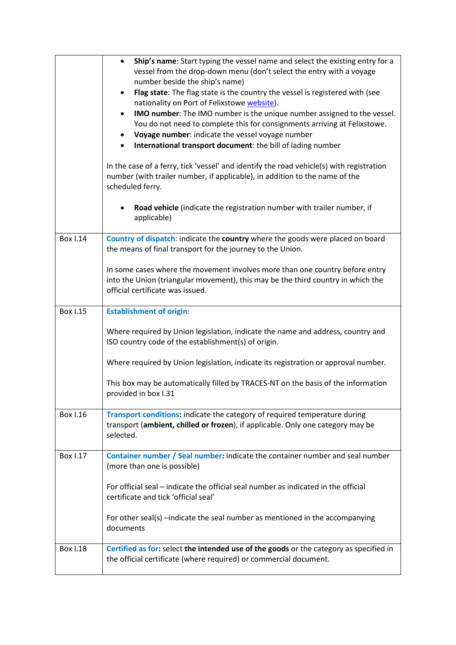|                 | Ship's name: Start typing the vessel name and select the existing entry for a<br>$\bullet$<br>vessel from the drop-down menu (don't select the entry with a voyage<br>number beside the ship's name)<br>Flag state: The flag state is the country the vessel is registered with (see<br>$\bullet$<br>nationality on Port of Felixstowe website).<br>IMO number: The IMO number is the unique number assigned to the vessel.<br>$\bullet$<br>You do not need to complete this for consignments arriving at Felixstowe.<br>Voyage number: indicate the vessel voyage number<br>$\bullet$<br>International transport document: the bill of lading number<br>$\bullet$<br>In the case of a ferry, tick 'vessel' and identify the road vehicle(s) with registration<br>number (with trailer number, if applicable), in addition to the name of the<br>scheduled ferry.<br>Road vehicle (indicate the registration number with trailer number, if<br>$\bullet$<br>applicable) |
|-----------------|-------------------------------------------------------------------------------------------------------------------------------------------------------------------------------------------------------------------------------------------------------------------------------------------------------------------------------------------------------------------------------------------------------------------------------------------------------------------------------------------------------------------------------------------------------------------------------------------------------------------------------------------------------------------------------------------------------------------------------------------------------------------------------------------------------------------------------------------------------------------------------------------------------------------------------------------------------------------------|
| <b>Box I.14</b> | Country of dispatch: indicate the country where the goods were placed on board<br>the means of final transport for the journey to the Union.<br>In some cases where the movement involves more than one country before entry<br>into the Union (triangular movement), this may be the third country in which the<br>official certificate was issued.                                                                                                                                                                                                                                                                                                                                                                                                                                                                                                                                                                                                                    |
| <b>Box I.15</b> | <b>Establishment of origin:</b><br>Where required by Union legislation, indicate the name and address, country and<br>ISO country code of the establishment(s) of origin.<br>Where required by Union legislation, indicate its registration or approval number.<br>This box may be automatically filled by TRACES-NT on the basis of the information<br>provided in box I.31                                                                                                                                                                                                                                                                                                                                                                                                                                                                                                                                                                                            |
| <b>Box I.16</b> | Transport conditions: indicate the category of required temperature during<br>transport (ambient, chilled or frozen), if applicable. Only one category may be<br>selected.                                                                                                                                                                                                                                                                                                                                                                                                                                                                                                                                                                                                                                                                                                                                                                                              |
| Box 1.17        | Container number / Seal number: indicate the container number and seal number<br>(more than one is possible)<br>For official seal – indicate the official seal number as indicated in the official<br>certificate and tick 'official seal'<br>For other seal(s) -indicate the seal number as mentioned in the accompanying<br>documents                                                                                                                                                                                                                                                                                                                                                                                                                                                                                                                                                                                                                                 |
| <b>Box I.18</b> | Certified as for: select the intended use of the goods or the category as specified in<br>the official certificate (where required) or commercial document.                                                                                                                                                                                                                                                                                                                                                                                                                                                                                                                                                                                                                                                                                                                                                                                                             |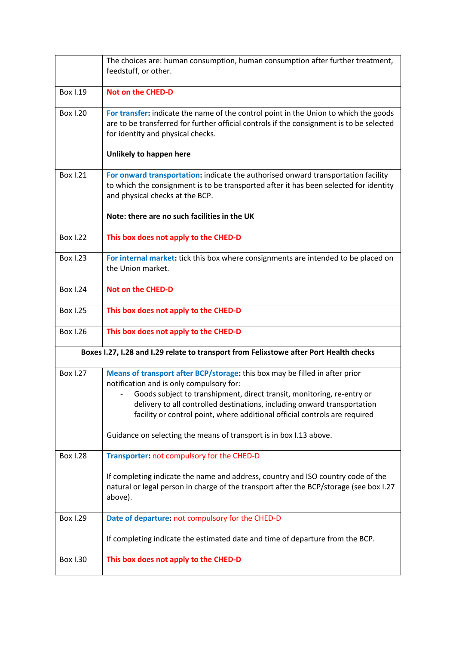|                                                                                        | The choices are: human consumption, human consumption after further treatment,<br>feedstuff, or other.                                                                                                                                                                                                                                                                                                                            |
|----------------------------------------------------------------------------------------|-----------------------------------------------------------------------------------------------------------------------------------------------------------------------------------------------------------------------------------------------------------------------------------------------------------------------------------------------------------------------------------------------------------------------------------|
| <b>Box I.19</b>                                                                        | <b>Not on the CHED-D</b>                                                                                                                                                                                                                                                                                                                                                                                                          |
| <b>Box 1.20</b>                                                                        | For transfer: indicate the name of the control point in the Union to which the goods<br>are to be transferred for further official controls if the consignment is to be selected<br>for identity and physical checks.<br>Unlikely to happen here                                                                                                                                                                                  |
| <b>Box 1.21</b>                                                                        | For onward transportation: indicate the authorised onward transportation facility<br>to which the consignment is to be transported after it has been selected for identity<br>and physical checks at the BCP.<br>Note: there are no such facilities in the UK                                                                                                                                                                     |
| <b>Box 1.22</b>                                                                        | This box does not apply to the CHED-D                                                                                                                                                                                                                                                                                                                                                                                             |
| <b>Box 1.23</b>                                                                        | For internal market: tick this box where consignments are intended to be placed on<br>the Union market.                                                                                                                                                                                                                                                                                                                           |
| <b>Box I.24</b>                                                                        | <b>Not on the CHED-D</b>                                                                                                                                                                                                                                                                                                                                                                                                          |
| <b>Box 1.25</b>                                                                        | This box does not apply to the CHED-D                                                                                                                                                                                                                                                                                                                                                                                             |
| <b>Box 1.26</b>                                                                        | This box does not apply to the CHED-D                                                                                                                                                                                                                                                                                                                                                                                             |
| Boxes I.27, I.28 and I.29 relate to transport from Felixstowe after Port Health checks |                                                                                                                                                                                                                                                                                                                                                                                                                                   |
| <b>Box 1.27</b>                                                                        | Means of transport after BCP/storage: this box may be filled in after prior<br>notification and is only compulsory for:<br>Goods subject to transhipment, direct transit, monitoring, re-entry or<br>delivery to all controlled destinations, including onward transportation<br>facility or control point, where additional official controls are required<br>Guidance on selecting the means of transport is in box I.13 above. |
| <b>Box 1.28</b>                                                                        | Transporter: not compulsory for the CHED-D                                                                                                                                                                                                                                                                                                                                                                                        |
|                                                                                        | If completing indicate the name and address, country and ISO country code of the<br>natural or legal person in charge of the transport after the BCP/storage (see box I.27<br>above).                                                                                                                                                                                                                                             |
| <b>Box 1.29</b>                                                                        | Date of departure: not compulsory for the CHED-D                                                                                                                                                                                                                                                                                                                                                                                  |
|                                                                                        | If completing indicate the estimated date and time of departure from the BCP.                                                                                                                                                                                                                                                                                                                                                     |
| <b>Box I.30</b>                                                                        | This box does not apply to the CHED-D                                                                                                                                                                                                                                                                                                                                                                                             |